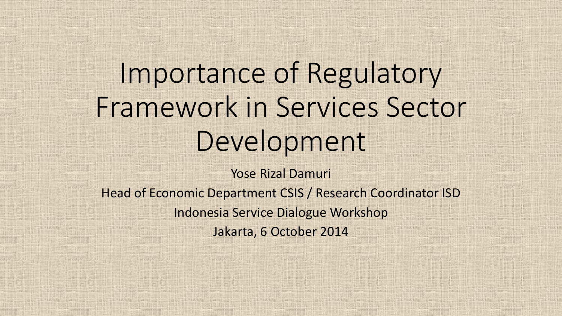# Importance of Regulatory Framework in Services Sector Development

Yose Rizal Damuri Head of Economic Department CSIS / Research Coordinator ISD Indonesia Service Dialogue Workshop Jakarta, 6 October 2014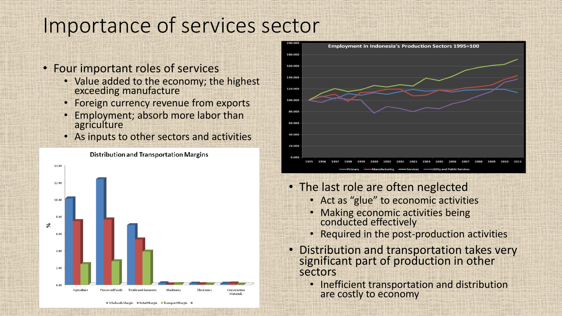### Importance of services sector

- Four important roles of services
	- Value added to the economy; the highest exceeding manufacture
	- Foreign currency revenue from exports
	- Employment; absorb more labor than agriculture
	- As inputs to other sectors and activities





- The last role are often neglected
	- Act as "glue" to economic activities
	- Making economic activities being conducted effectively
	- Required in the post-production activities
- Distribution and transportation takes very significant part of production in other sectors
	- Inefficient transportation and distribution are costly to economy

#### **Distribution and Transportation Margins**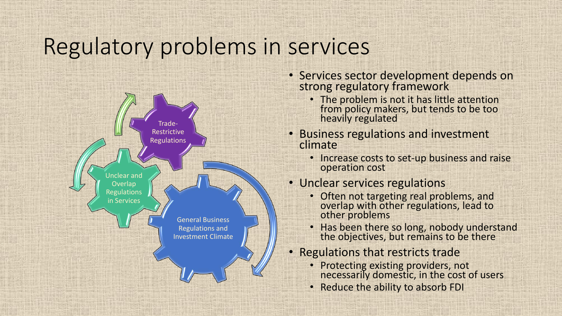### Regulatory problems in services



- Services sector development depends on strong regulatory framework
	- The problem is not it has little attention from policy makers, but tends to be too heavily regulated
- Business regulations and investment climate
	- Increase costs to set-up business and raise operation cost

#### • Unclear services regulations

- Often not targeting real problems, and overlap with other regulations, lead to other problems
- Has been there so long, nobody understand the objectives, but remains to be there
- Regulations that restricts trade
	- Protecting existing providers, not necessarily domestic, in the cost of users
	- Reduce the ability to absorb FDI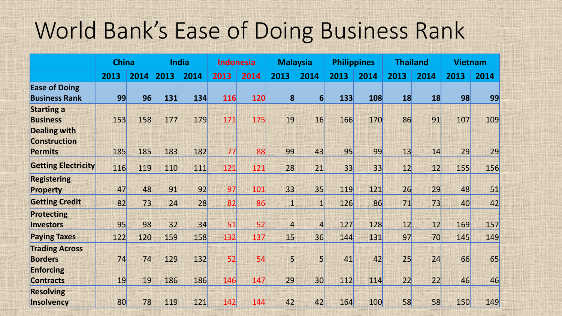### World Bank's Ease of Doing Business Rank

|                                              | <b>China</b> |      | <b>India</b> |      | Indonesia |      | <b>Malaysia</b> |                | <b>Philippines</b> |      | <b>Thailand</b> |      | <b>Vietnam</b> |      |
|----------------------------------------------|--------------|------|--------------|------|-----------|------|-----------------|----------------|--------------------|------|-----------------|------|----------------|------|
|                                              | 2013         | 2014 | 2013         | 2014 | 2013      | 2014 | 2013            | 2014           | 2013               | 2014 | 2013            | 2014 | 2013           | 2014 |
| <b>Ease of Doing</b><br><b>Business Rank</b> | 99           | 96   | 131          | 134  | 116       | 120  | $\mathbf{8}$    | 6              | 133                | 108  | 18              | 18   | 98             | 99   |
| <b>Starting a</b><br><b>Business</b>         | 153          | 158  | 177          | 179  | 171       | 175  | 19              | 16             | 166                | 170  | 86              | 91   | 107            | 109  |
| <b>Dealing with</b><br><b>Construction</b>   |              |      |              |      |           |      |                 |                |                    |      |                 |      |                |      |
| <b>Permits</b>                               | 185          | 185  | 183          | 182  | 77        | 88   | 99              | 43             | 95                 | 99   | 13              | 14   | 29             | 29   |
| <b>Getting Electricity</b>                   | 116          | 119  | 110          | 111  | 121       | 121  | 28              | 21             | 33                 | 33   | 12              | 12   | 155            | 156  |
| <b>Registering</b><br><b>Property</b>        | 47           | 48   | 91           | 92   | 97        | 101  | 33              | 35             | 119                | 121  | 26              | 29   | 48             | 51   |
| <b>Getting Credit</b>                        | 82           | 73   | 24           | 28   | 82        | 86   |                 | $\mathbf{1}$   | 126                | 86   | 71              | 73   | 40             | 42   |
| <b>Protecting</b><br><b>Investors</b>        | 95           | 98   | 32           | 34   | 51        | 52   | $\vert$         | 4              | 127                | 128  | 12              | 12   | 169            | 157  |
| <b>Paying Taxes</b>                          | 122          | 120  | 159          | 158  | 132       | 137  | 15              | 36             | 144                | 131  | 97              | 70   | 145            | 149  |
| <b>Trading Across</b><br><b>Borders</b>      | 74           | 74   | 129          | 132  | 52        | 54   | 5               | 5 <sup>1</sup> | 41                 | 42   | 25              | 24   | 66             | 65   |
| <b>Enforcing</b><br><b>Contracts</b>         | 19           | 19   | 186          | 186  | 146       | 147  | 29              | 30             | 112                | 114  | 22              | 22   | 46             | 46   |
| <b>Resolving</b><br>Insolvency               | 80           | 78   | 119          | 121  | 142       | 144  | 42              | 42             | 164                | 100  | 58              | 58   | 150            | 149  |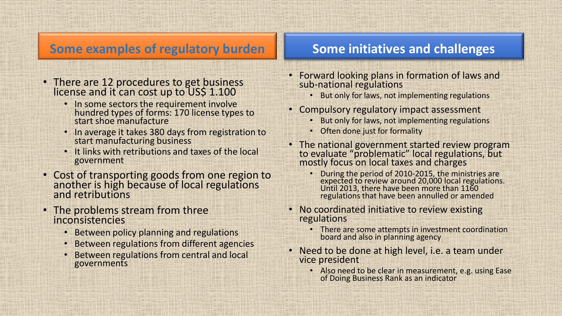### **Some examples of regulatory burden**

- There are 12 procedures to get business license and it can cost up to US\$ 1.100
	- In some sectors the requirement involve hundred types of forms: 170 license types to start shoe manufacture
	- In average it takes 380 days from registration to start manufacturing business
	- It links with retributions and taxes of the local government
- Cost of transporting goods from one region to another is high because of local regulations and retributions
- The problems stream from three inconsistencies
	- Between policy planning and regulations
	- Between regulations from different agencies
	- Between regulations from central and local governments

#### **Some initiatives and challenges**

- Forward looking plans in formation of laws and sub-national regulations
	- But only for laws, not implementing regulations
- Compulsory regulatory impact assessment
	- But only for laws, not implementing regulations
	- Often done just for formality
- The national government started review program to evaluate "problematic" local regulations, but mostly focus on local taxes and charges
	- During the period of 2010-2015, the ministries are expected to review around 20,000 local regulations. Until 2013, there have been more than 1160 regulations that have been annulled or amended
- No coordinated initiative to review existing regulations
	- There are some attempts in investment coordination board and also in planning agency
- Need to be done at high level, i.e. a team under vice president
	- Also need to be clear in measurement, e.g. using Ease of Doing Business Rank as an indicator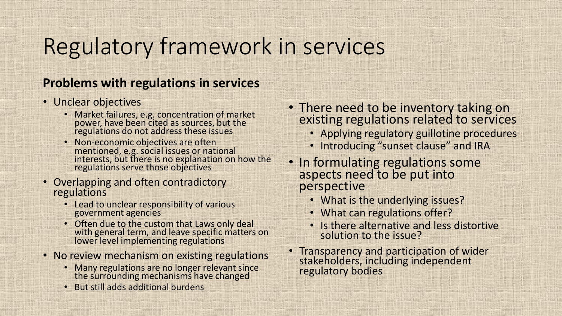## Regulatory framework in services

#### **Problems with regulations in services**

- Unclear objectives
	- Market failures, e.g. concentration of market power, have been cited as sources, but the regulations do not address these issues
	- Non-economic objectives are often mentioned, e.g. social issues or national interests, but there is no explanation on how the regulations serve those objectives
- Overlapping and often contradictory regulations
	- Lead to unclear responsibility of various government agencies
	- Often due to the custom that Laws only deal with general term, and leave specific matters on lower level implementing regulations
- No review mechanism on existing regulations
	- Many regulations are no longer relevant since the surrounding mechanisms have changed
	- But still adds additional burdens
- There need to be inventory taking on existing regulations related to services
	- Applying regulatory guillotine procedures
	- Introducing "sunset clause" and IRA
- In formulating regulations some aspects need to be put into perspective
	- What is the underlying issues?
	- What can regulations offer?
	- Is there alternative and less distortive solution to the issue?
- Transparency and participation of wider stakeholders, including independent regulatory bodies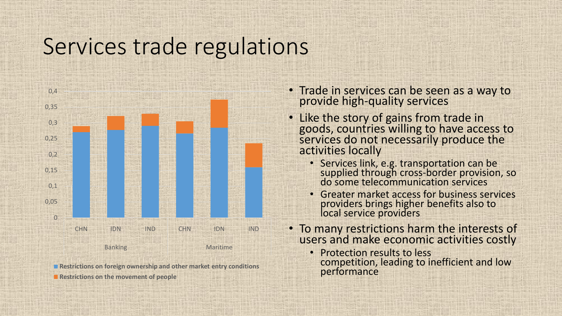### Services trade regulations



**Restrictions on foreign ownership and other market entry conditions Restrictions on the movement of people** 

- Trade in services can be seen as a way to provide high-quality services
- Like the story of gains from trade in goods, countries willing to have access to services do not necessarily produce the activities locally
	- Services link, e.g. transportation can be supplied through cross-border provision, so do some telecommunication services
	- Greater market access for business services providers brings higher benefits also to local service providers
- To many restrictions harm the interests of users and make economic activities costly
	- Protection results to less competition, leading to inefficient and low performance